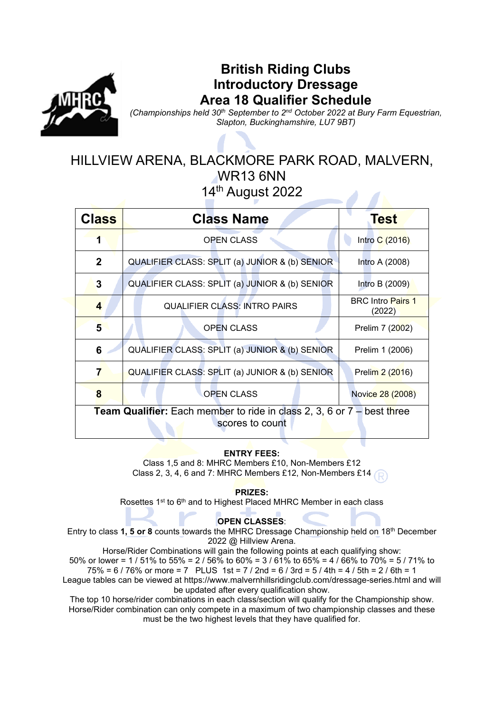

# **British Riding Clubs Introductory Dressage Area 18 Qualifier Schedule**

*(Championships held 30th September to 2nd October 2022 at Bury Farm Equestrian, Slapton, Buckinghamshire, LU7 9BT)*

## HILLVIEW ARENA, BLACKMORE PARK ROAD, MALVERN, WR13 6NN 14th August 2022

| <b>Class</b>                                                                                       | <b>Class Name</b>                                                 | <b>Test</b>                        |  |  |
|----------------------------------------------------------------------------------------------------|-------------------------------------------------------------------|------------------------------------|--|--|
| 1                                                                                                  | <b>OPEN CLASS</b>                                                 | Intro C (2016)                     |  |  |
| $\mathbf{2}$                                                                                       | QUALIFIER CLASS: SPLIT (a) JUNIOR & (b) SENIOR                    | Intro A (2008)                     |  |  |
| 3                                                                                                  | QUALIFIER CLASS: SPLIT (a) JUNIOR & (b) SENIOR                    | Intro B (2009)                     |  |  |
| 4                                                                                                  | <b>QUALIFIER CLASS: INTRO PAIRS</b>                               | <b>BRC</b> Intro Pairs 1<br>(2022) |  |  |
| 5                                                                                                  | <b>OPEN CLASS</b>                                                 | Prelim 7 (2002)                    |  |  |
| 6                                                                                                  | QUALIFIER CLASS: SPLIT (a) JUNIOR & (b) SENIOR<br>Prelim 1 (2006) |                                    |  |  |
| 7                                                                                                  | QUALIFIER CLASS: SPLIT (a) JUNIOR & (b) SENIOR                    | Prelim 2 (2016)                    |  |  |
| 8                                                                                                  | <b>OPEN CLASS</b>                                                 | Novice 28 (2008)                   |  |  |
| <b>Team Qualifier:</b> Each member to ride in class 2, 3, 6 or $7 -$ best three<br>scores to count |                                                                   |                                    |  |  |

## **ENTRY FEES:**

Class 1,5 and 8: MHRC Members £10, Non-Members £12 Class 2, 3, 4, 6 and 7: MHRC Members £12, Non-Members £14

#### **PRIZES:**

Rosettes 1st to 6<sup>th</sup> and to Highest Placed MHRC Member in each class

### **OPEN CLASSES**:

Entry to class **1, 5 or 8** counts towards the MHRC Dressage Championship held on 18th December 2022 @ Hillview Arena.

Horse/Rider Combinations will gain the following points at each qualifying show: 50% or lower = 1 / 51% to 55% = 2 / 56% to 60% = 3 / 61% to 65% = 4 / 66% to 70% = 5 / 71% to  $75\% = 6 / 76\%$  or more = 7 PLUS 1st = 7 / 2nd = 6 / 3rd = 5 / 4th = 4 / 5th = 2 / 6th = 1 League tables can be viewed at https://www.malvernhillsridingclub.com/dressage-series.html and will be updated after every qualification show.

The top 10 horse/rider combinations in each class/section will qualify for the Championship show. Horse/Rider combination can only compete in a maximum of two championship classes and these must be the two highest levels that they have qualified for.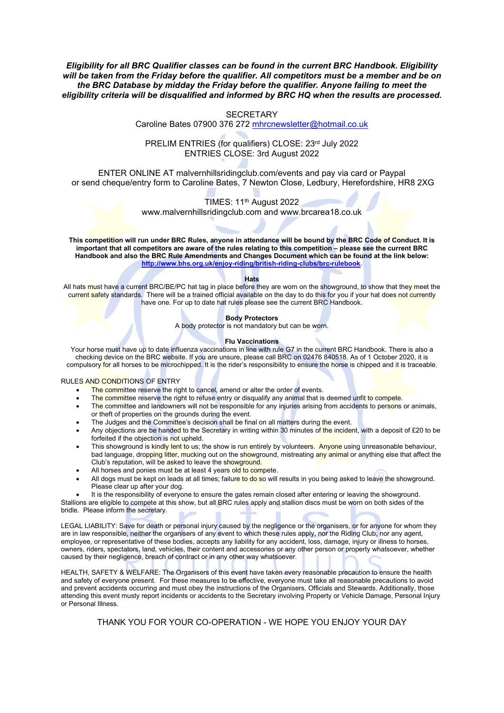*Eligibility for all BRC Qualifier classes can be found in the current BRC Handbook. Eligibility will be taken from the Friday before the qualifier. All competitors must be a member and be on the BRC Database by midday the Friday before the qualifier. Anyone failing to meet the eligibility criteria will be disqualified and informed by BRC HQ when the results are processed.*

#### **SECRETARY**

Caroline Bates 07900 376 272 [mhrcnewsletter@hotmail.co.uk](mailto:mhrcnewsletter@hotmail.co.uk)

PRELIM ENTRIES (for qualifiers) CLOSE: 23rd July 2022 ENTRIES CLOSE: 3rd August 2022

ENTER ONLINE AT malvernhillsridingclub.com/events and pay via card or Paypal or send cheque/entry form to Caroline Bates, 7 Newton Close, Ledbury, Herefordshire, HR8 2XG

TIMES: 11<sup>th</sup> August 2022

www.malvernhillsridingclub.com and www.brcarea18.co.uk

**This competition will run under BRC Rules, anyone in attendance will be bound by the BRC Code of Conduct. It is important that all competitors are aware of the rules relating to this competition – please see the current BRC Handbook and also the BRC Rule Amendments and Changes Document which can be found at the link below: [http://www.bhs.org.uk/enjoy-riding/british-riding-clubs/brc-rulebook.](http://www.bhs.org.uk/enjoy-riding/british-riding-clubs/brc-rulebook)** 

**Hats**

All hats must have a current BRC/BE/PC hat tag in place before they are worn on the showground, to show that they meet the current safety standards. There will be a trained official available on the day to do this for you if your hat does not currently have one. For up to date hat rules please see the current BRC Handbook.

#### **Body Protectors**

A body protector is not mandatory but can be worn.

#### **Flu Vaccinations**

Your horse must have up to date influenza vaccinations in line with rule G7 in the current BRC Handbook. There is also a checking device on the BRC website. If you are unsure, please call BRC on 02476 840518. As of 1 October 2020, it is compulsory for all horses to be microchipped. It is the rider's responsibility to ensure the horse is chipped and it is traceable.

#### RULES AND CONDITIONS OF ENTRY

- The committee reserve the right to cancel, amend or alter the order of events.
- The committee reserve the right to refuse entry or disqualify any animal that is deemed unfit to compete.
- The committee and landowners will not be responsible for any injuries arising from accidents to persons or animals, or theft of properties on the grounds during the event.
- The Judges and the Committee's decision shall be final on all matters during the event.
- Any objections are be handed to the Secretary in writing within 30 minutes of the incident, with a deposit of £20 to be forfeited if the objection is not upheld.
- This showground is kindly lent to us; the show is run entirely by volunteers. Anyone using unreasonable behaviour, bad language, dropping litter, mucking out on the showground, mistreating any animal or anything else that affect the Club's reputation, will be asked to leave the showground.
- All horses and ponies must be at least 4 years old to compete.
- All dogs must be kept on leads at all times; failure to do so will results in you being asked to leave the showground. Please clear up after your dog.

It is the responsibility of everyone to ensure the gates remain closed after entering or leaving the showground. Stallions are eligible to compete at this show, but all BRC rules apply and stallion discs must be worn on both sides of the bridle. Please inform the secretary.

LEGAL LIABILITY: Save for death or personal injury caused by the negligence or the organisers, or for anyone for whom they are in law responsible, neither the organisers of any event to which these rules apply, nor the Riding Club, nor any agent, employee, or representative of these bodies, accepts any liability for any accident, loss, damage, injury or illness to horses, owners, riders, spectators, land, vehicles, their content and accessories or any other person or property whatsoever, whether caused by their negligence, breach of contract or in any other way whatsoever.

HEALTH, SAFETY & WELFARE: The Organisers of this event have taken every reasonable precaution to ensure the health and safety of everyone present. For these measures to be effective, everyone must take all reasonable precautions to avoid and prevent accidents occurring and must obey the instructions of the Organisers, Officials and Stewards. Additionally, those attending this event musty report incidents or accidents to the Secretary involving Property or Vehicle Damage, Personal Injury or Personal Illness.

THANK YOU FOR YOUR CO-OPERATION - WE HOPE YOU ENJOY YOUR DAY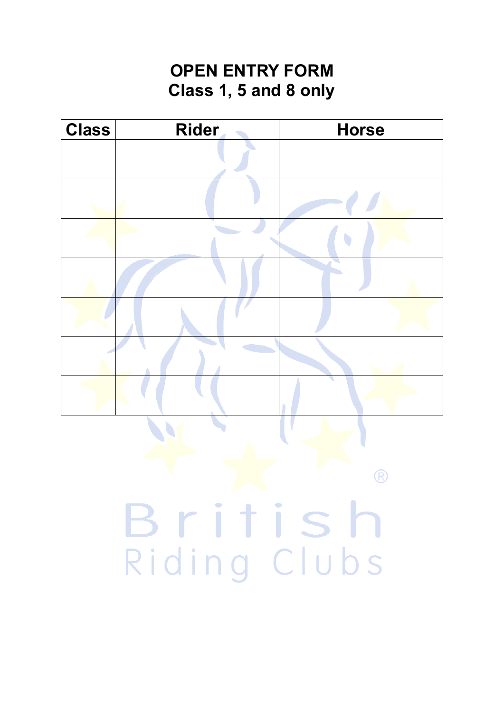# **OPEN ENTRY FORM Class 1, 5 and 8 only**